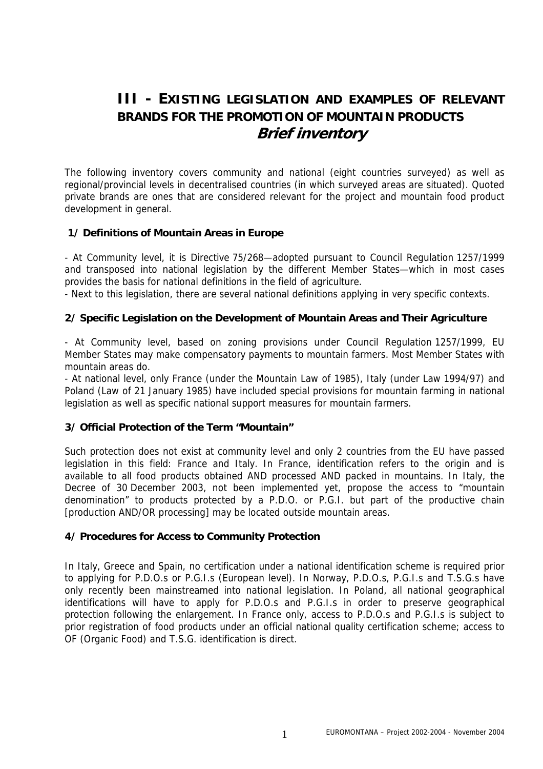# **III - EXISTING LEGISLATION AND EXAMPLES OF RELEVANT BRANDS FOR THE PROMOTION OF MOUNTAIN PRODUCTS Brief inventory**

The following inventory covers community and national (eight countries surveyed) as well as regional/provincial levels in decentralised countries (in which surveyed areas are situated). Quoted private brands are ones that are considered relevant for the project and mountain food product development in general.

## **1/ Definitions of Mountain Areas in Europe**

- At Community level, it is Directive 75/268—adopted pursuant to Council Regulation 1257/1999 and transposed into national legislation by the different Member States—which in most cases provides the basis for national definitions in the field of agriculture.

- Next to this legislation, there are several national definitions applying in very specific contexts.

#### **2/ Specific Legislation on the Development of Mountain Areas and Their Agriculture**

- At Community level, based on zoning provisions under Council Regulation 1257/1999, EU Member States may make compensatory payments to mountain farmers. Most Member States with mountain areas do.

- At national level, only France (under the Mountain Law of 1985), Italy (under Law 1994/97) and Poland (Law of 21 January 1985) have included special provisions for mountain farming in national legislation as well as specific national support measures for mountain farmers.

#### **3/ Official Protection of the Term "Mountain"**

Such protection does not exist at community level and only 2 countries from the EU have passed legislation in this field: France and Italy. In France, identification refers to the origin and is available to all food products obtained AND processed AND packed in mountains. In Italy, the Decree of 30 December 2003, not been implemented yet, propose the access to "mountain denomination" to products protected by a P.D.O. or P.G.I. but part of the productive chain [production AND/OR processing] may be located outside mountain areas.

#### **4/ Procedures for Access to Community Protection**

In Italy, Greece and Spain, no certification under a national identification scheme is required prior to applying for P.D.O.s or P.G.I.s (European level). In Norway, P.D.O.s, P.G.I.s and T.S.G.s have only recently been mainstreamed into national legislation. In Poland, all national geographical identifications will have to apply for P.D.O.s and P.G.I.s in order to preserve geographical protection following the enlargement. In France only, access to P.D.O.s and P.G.I.s is subject to prior registration of food products under an official national quality certification scheme; access to OF (Organic Food) and T.S.G. identification is direct.